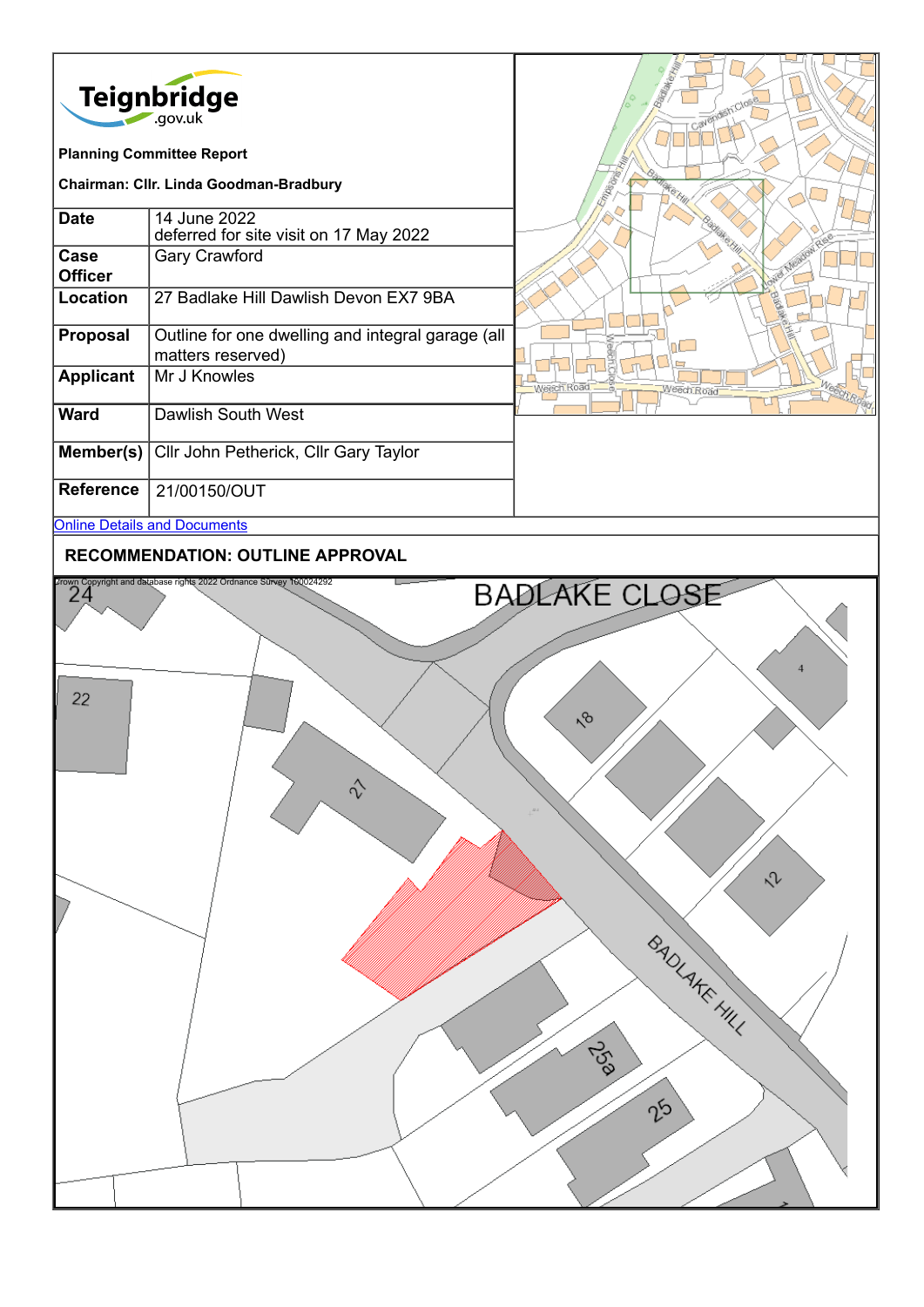

## **RECOMMENDATION: OUTLINE APPROVAL**

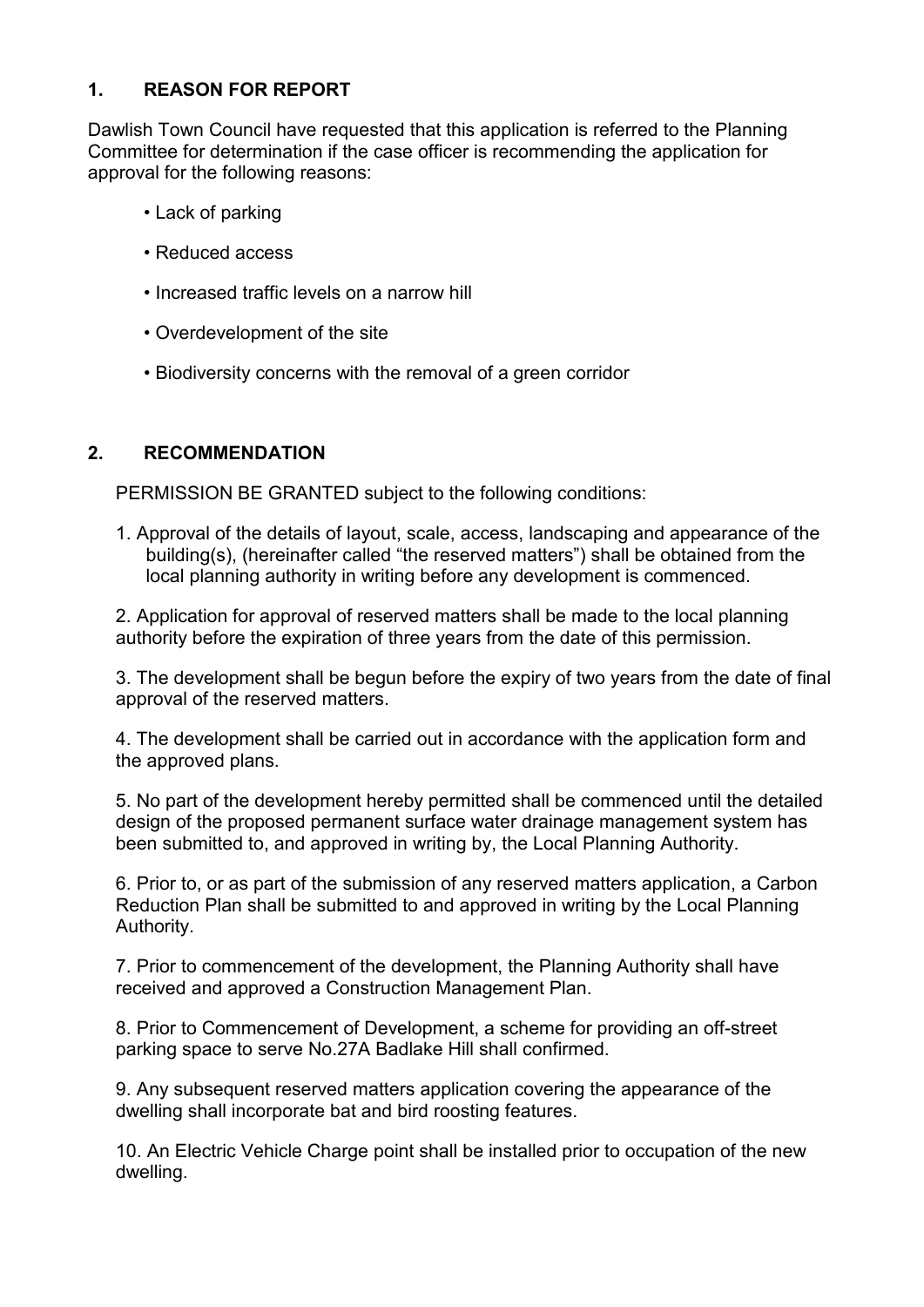# **1. REASON FOR REPORT**

Dawlish Town Council have requested that this application is referred to the Planning Committee for determination if the case officer is recommending the application for approval for the following reasons:

- Lack of parking
- Reduced access
- Increased traffic levels on a narrow hill
- Overdevelopment of the site
- Biodiversity concerns with the removal of a green corridor

# **2. RECOMMENDATION**

PERMISSION BE GRANTED subject to the following conditions:

1. Approval of the details of layout, scale, access, landscaping and appearance of the building(s), (hereinafter called "the reserved matters") shall be obtained from the local planning authority in writing before any development is commenced.

2. Application for approval of reserved matters shall be made to the local planning authority before the expiration of three years from the date of this permission.

3. The development shall be begun before the expiry of two years from the date of final approval of the reserved matters.

4. The development shall be carried out in accordance with the application form and the approved plans.

5. No part of the development hereby permitted shall be commenced until the detailed design of the proposed permanent surface water drainage management system has been submitted to, and approved in writing by, the Local Planning Authority.

6. Prior to, or as part of the submission of any reserved matters application, a Carbon Reduction Plan shall be submitted to and approved in writing by the Local Planning Authority.

7. Prior to commencement of the development, the Planning Authority shall have received and approved a Construction Management Plan.

8. Prior to Commencement of Development, a scheme for providing an off-street parking space to serve No.27A Badlake Hill shall confirmed.

9. Any subsequent reserved matters application covering the appearance of the dwelling shall incorporate bat and bird roosting features.

10. An Electric Vehicle Charge point shall be installed prior to occupation of the new dwelling.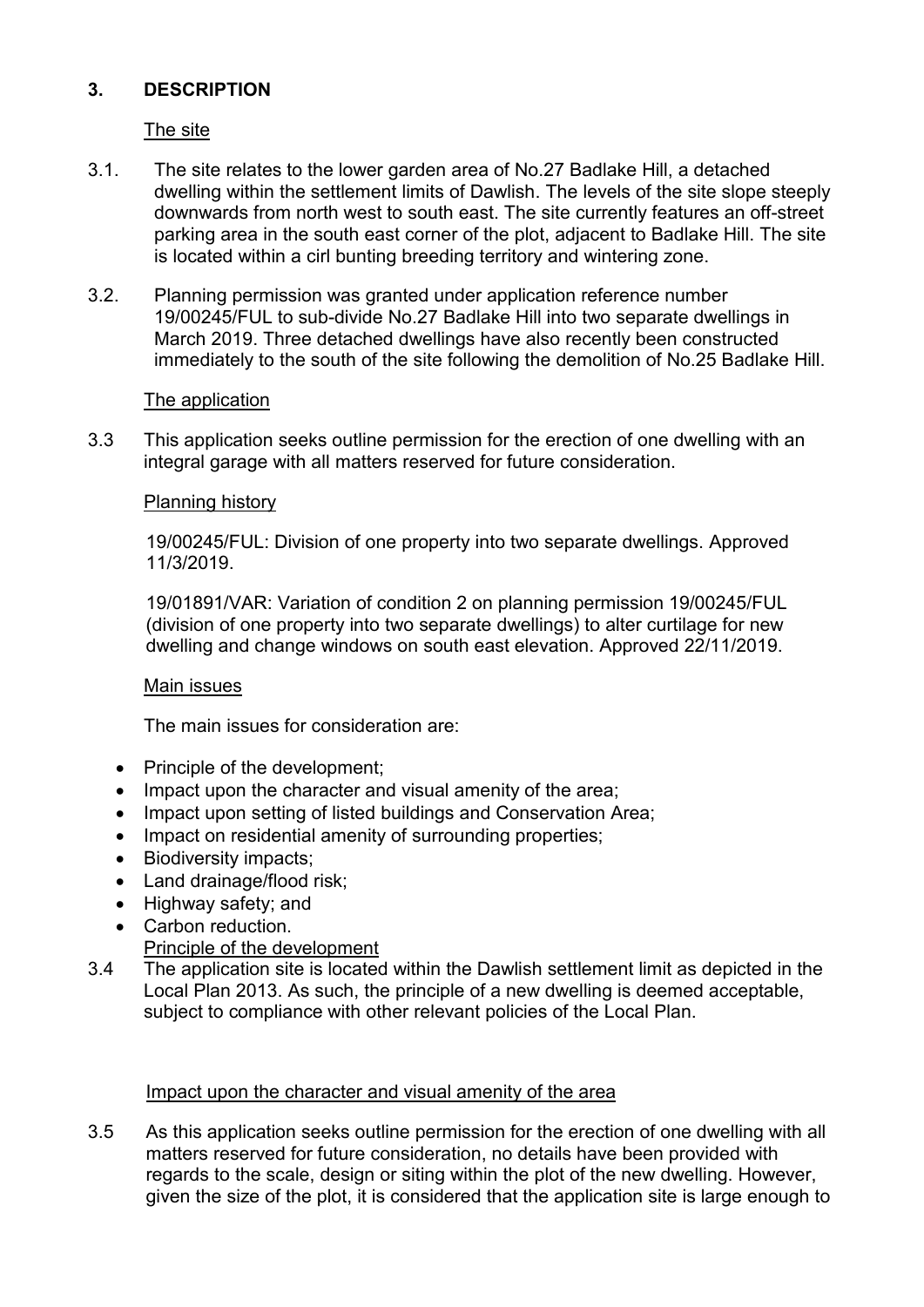# **3. DESCRIPTION**

The site

- 3.1. The site relates to the lower garden area of No.27 Badlake Hill, a detached dwelling within the settlement limits of Dawlish. The levels of the site slope steeply downwards from north west to south east. The site currently features an off-street parking area in the south east corner of the plot, adjacent to Badlake Hill. The site is located within a cirl bunting breeding territory and wintering zone.
- 3.2. Planning permission was granted under application reference number 19/00245/FUL to sub-divide No.27 Badlake Hill into two separate dwellings in March 2019. Three detached dwellings have also recently been constructed immediately to the south of the site following the demolition of No.25 Badlake Hill.

### The application

3.3 This application seeks outline permission for the erection of one dwelling with an integral garage with all matters reserved for future consideration.

### Planning history

19/00245/FUL: Division of one property into two separate dwellings. Approved 11/3/2019.

19/01891/VAR: Variation of condition 2 on planning permission 19/00245/FUL (division of one property into two separate dwellings) to alter curtilage for new dwelling and change windows on south east elevation. Approved 22/11/2019.

### Main issues

The main issues for consideration are:

- Principle of the development;
- Impact upon the character and visual amenity of the area;
- Impact upon setting of listed buildings and Conservation Area;
- Impact on residential amenity of surrounding properties:
- Biodiversity impacts:
- Land drainage/flood risk;
- Highway safety; and
- Carbon reduction.
	- Principle of the development
- 3.4 The application site is located within the Dawlish settlement limit as depicted in the Local Plan 2013. As such, the principle of a new dwelling is deemed acceptable, subject to compliance with other relevant policies of the Local Plan.

### Impact upon the character and visual amenity of the area

3.5 As this application seeks outline permission for the erection of one dwelling with all matters reserved for future consideration, no details have been provided with regards to the scale, design or siting within the plot of the new dwelling. However, given the size of the plot, it is considered that the application site is large enough to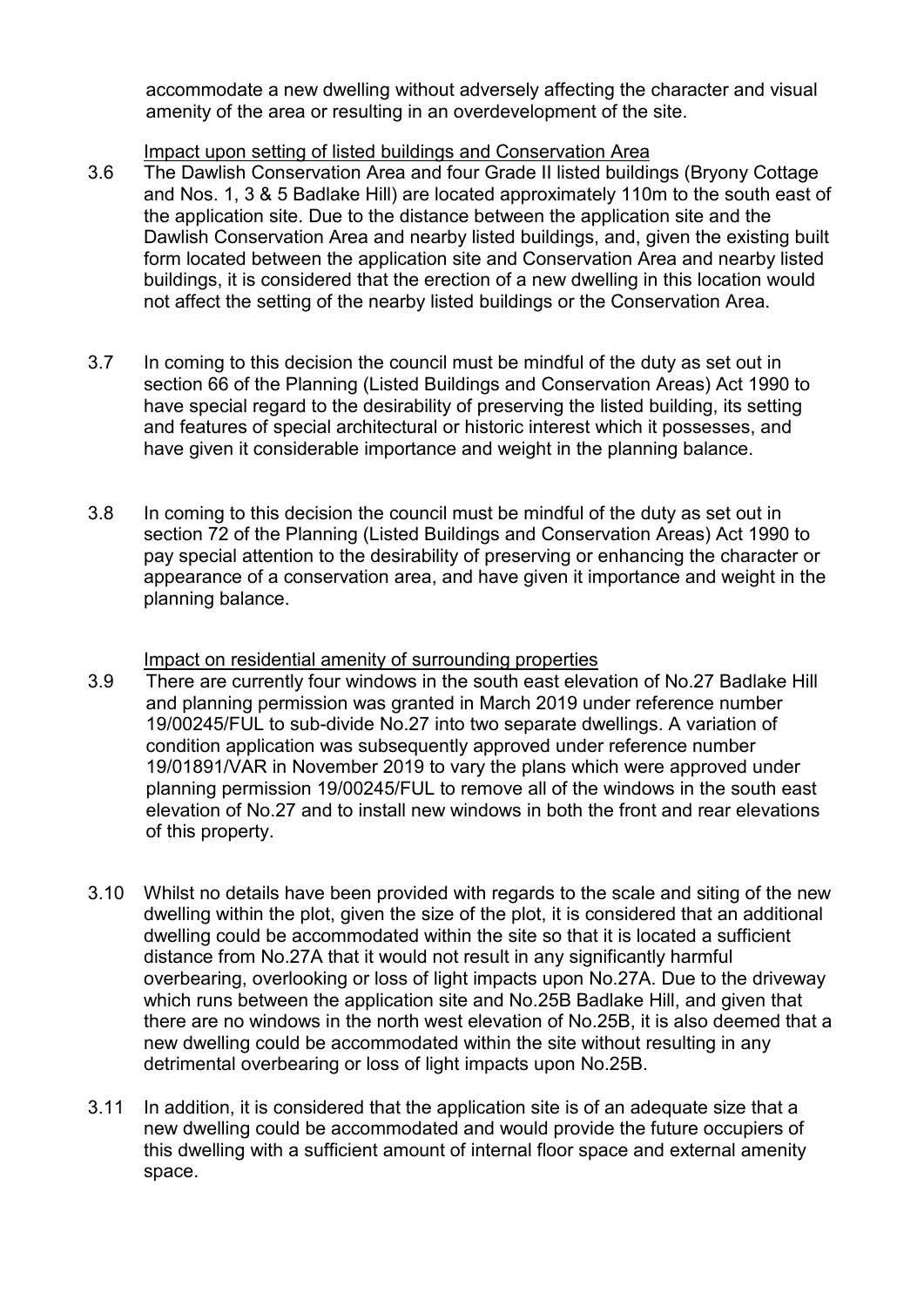accommodate a new dwelling without adversely affecting the character and visual amenity of the area or resulting in an overdevelopment of the site.

### Impact upon setting of listed buildings and Conservation Area

- 3.6 The Dawlish Conservation Area and four Grade II listed buildings (Bryony Cottage and Nos. 1, 3 & 5 Badlake Hill) are located approximately 110m to the south east of the application site. Due to the distance between the application site and the Dawlish Conservation Area and nearby listed buildings, and, given the existing built form located between the application site and Conservation Area and nearby listed buildings, it is considered that the erection of a new dwelling in this location would not affect the setting of the nearby listed buildings or the Conservation Area.
- 3.7 In coming to this decision the council must be mindful of the duty as set out in section 66 of the Planning (Listed Buildings and Conservation Areas) Act 1990 to have special regard to the desirability of preserving the listed building, its setting and features of special architectural or historic interest which it possesses, and have given it considerable importance and weight in the planning balance.
- 3.8 In coming to this decision the council must be mindful of the duty as set out in section 72 of the Planning (Listed Buildings and Conservation Areas) Act 1990 to pay special attention to the desirability of preserving or enhancing the character or appearance of a conservation area, and have given it importance and weight in the planning balance.

### Impact on residential amenity of surrounding properties

- 3.9 There are currently four windows in the south east elevation of No.27 Badlake Hill and planning permission was granted in March 2019 under reference number 19/00245/FUL to sub-divide No.27 into two separate dwellings. A variation of condition application was subsequently approved under reference number 19/01891/VAR in November 2019 to vary the plans which were approved under planning permission 19/00245/FUL to remove all of the windows in the south east elevation of No.27 and to install new windows in both the front and rear elevations of this property.
- 3.10 Whilst no details have been provided with regards to the scale and siting of the new dwelling within the plot, given the size of the plot, it is considered that an additional dwelling could be accommodated within the site so that it is located a sufficient distance from No.27A that it would not result in any significantly harmful overbearing, overlooking or loss of light impacts upon No.27A. Due to the driveway which runs between the application site and No.25B Badlake Hill, and given that there are no windows in the north west elevation of No.25B, it is also deemed that a new dwelling could be accommodated within the site without resulting in any detrimental overbearing or loss of light impacts upon No.25B.
- 3.11 In addition, it is considered that the application site is of an adequate size that a new dwelling could be accommodated and would provide the future occupiers of this dwelling with a sufficient amount of internal floor space and external amenity space.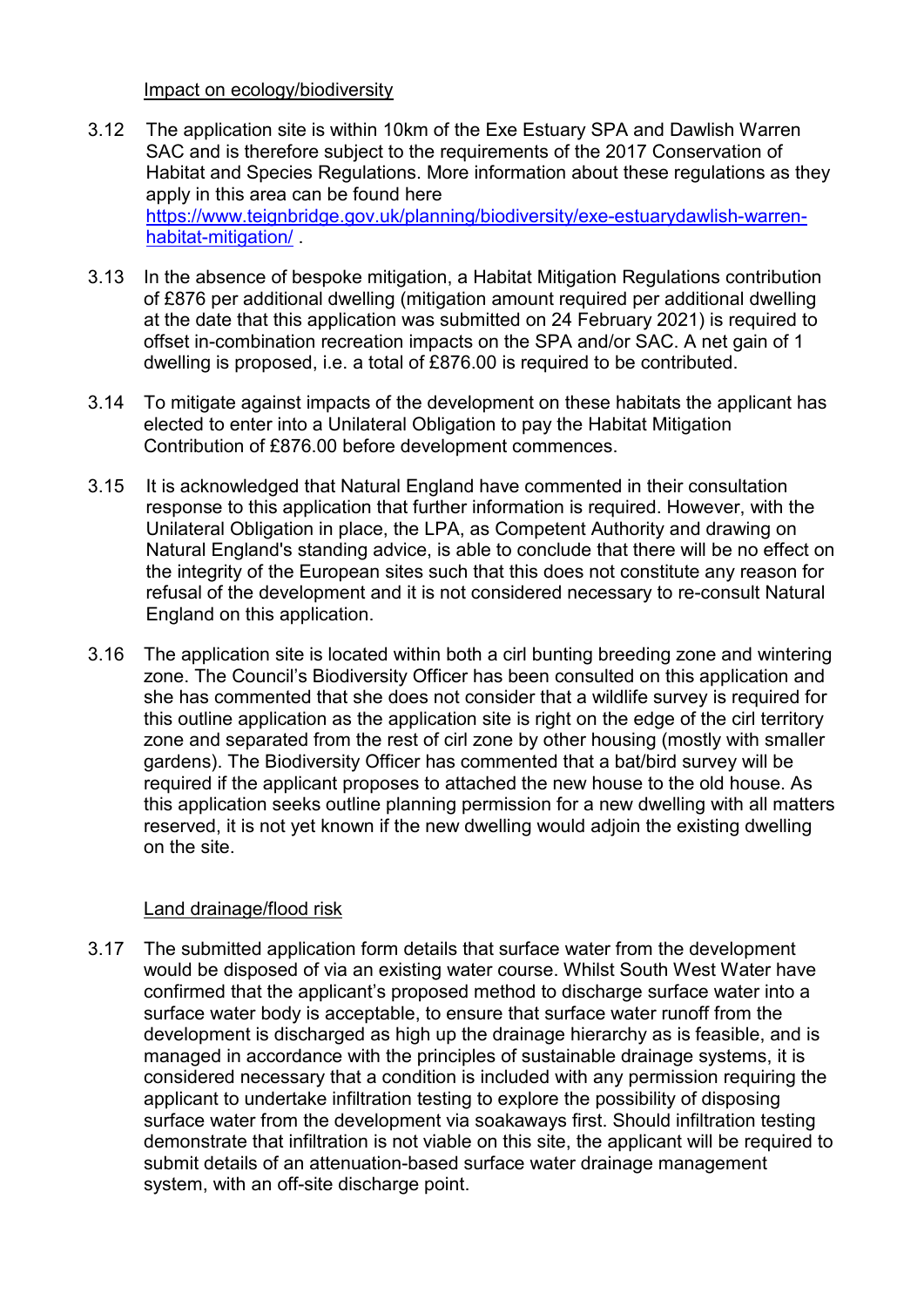#### Impact on ecology/biodiversity

- 3.12 The application site is within 10km of the Exe Estuary SPA and Dawlish Warren SAC and is therefore subject to the requirements of the 2017 Conservation of Habitat and Species Regulations. More information about these regulations as they apply in this area can be found here [https://www.teignbridge.gov.uk/planning/biodiversity/exe-estuarydawlish-warren](https://www.teignbridge.gov.uk/planning/biodiversity/exe-estuarydawlish-warren-habitat-mitigation/)[habitat-mitigation/](https://www.teignbridge.gov.uk/planning/biodiversity/exe-estuarydawlish-warren-habitat-mitigation/) .
- 3.13 In the absence of bespoke mitigation, a Habitat Mitigation Regulations contribution of £876 per additional dwelling (mitigation amount required per additional dwelling at the date that this application was submitted on 24 February 2021) is required to offset in-combination recreation impacts on the SPA and/or SAC. A net gain of 1 dwelling is proposed, i.e. a total of £876.00 is required to be contributed.
- 3.14 To mitigate against impacts of the development on these habitats the applicant has elected to enter into a Unilateral Obligation to pay the Habitat Mitigation Contribution of £876.00 before development commences.
- 3.15 It is acknowledged that Natural England have commented in their consultation response to this application that further information is required. However, with the Unilateral Obligation in place, the LPA, as Competent Authority and drawing on Natural England's standing advice, is able to conclude that there will be no effect on the integrity of the European sites such that this does not constitute any reason for refusal of the development and it is not considered necessary to re-consult Natural England on this application.
- 3.16 The application site is located within both a cirl bunting breeding zone and wintering zone. The Council's Biodiversity Officer has been consulted on this application and she has commented that she does not consider that a wildlife survey is required for this outline application as the application site is right on the edge of the cirl territory zone and separated from the rest of cirl zone by other housing (mostly with smaller gardens). The Biodiversity Officer has commented that a bat/bird survey will be required if the applicant proposes to attached the new house to the old house. As this application seeks outline planning permission for a new dwelling with all matters reserved, it is not yet known if the new dwelling would adjoin the existing dwelling on the site.

### Land drainage/flood risk

3.17 The submitted application form details that surface water from the development would be disposed of via an existing water course. Whilst South West Water have confirmed that the applicant's proposed method to discharge surface water into a surface water body is acceptable, to ensure that surface water runoff from the development is discharged as high up the drainage hierarchy as is feasible, and is managed in accordance with the principles of sustainable drainage systems, it is considered necessary that a condition is included with any permission requiring the applicant to undertake infiltration testing to explore the possibility of disposing surface water from the development via soakaways first. Should infiltration testing demonstrate that infiltration is not viable on this site, the applicant will be required to submit details of an attenuation-based surface water drainage management system, with an off-site discharge point.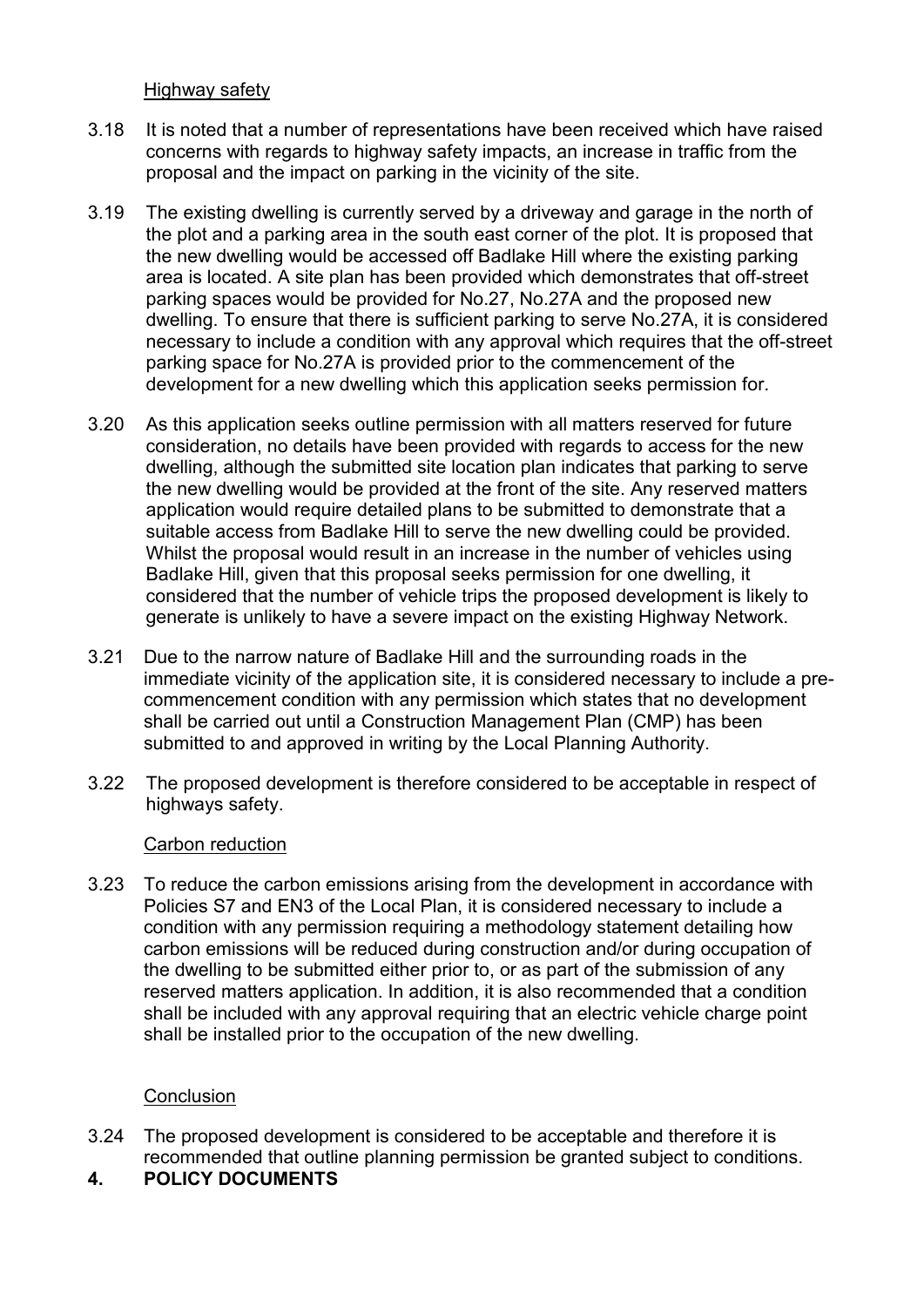Highway safety

- 3.18 It is noted that a number of representations have been received which have raised concerns with regards to highway safety impacts, an increase in traffic from the proposal and the impact on parking in the vicinity of the site.
- 3.19 The existing dwelling is currently served by a driveway and garage in the north of the plot and a parking area in the south east corner of the plot. It is proposed that the new dwelling would be accessed off Badlake Hill where the existing parking area is located. A site plan has been provided which demonstrates that off-street parking spaces would be provided for No.27, No.27A and the proposed new dwelling. To ensure that there is sufficient parking to serve No.27A, it is considered necessary to include a condition with any approval which requires that the off-street parking space for No.27A is provided prior to the commencement of the development for a new dwelling which this application seeks permission for.
- 3.20 As this application seeks outline permission with all matters reserved for future consideration, no details have been provided with regards to access for the new dwelling, although the submitted site location plan indicates that parking to serve the new dwelling would be provided at the front of the site. Any reserved matters application would require detailed plans to be submitted to demonstrate that a suitable access from Badlake Hill to serve the new dwelling could be provided. Whilst the proposal would result in an increase in the number of vehicles using Badlake Hill, given that this proposal seeks permission for one dwelling, it considered that the number of vehicle trips the proposed development is likely to generate is unlikely to have a severe impact on the existing Highway Network.
- 3.21 Due to the narrow nature of Badlake Hill and the surrounding roads in the immediate vicinity of the application site, it is considered necessary to include a precommencement condition with any permission which states that no development shall be carried out until a Construction Management Plan (CMP) has been submitted to and approved in writing by the Local Planning Authority.
- 3.22 The proposed development is therefore considered to be acceptable in respect of highways safety.

### Carbon reduction

3.23 To reduce the carbon emissions arising from the development in accordance with Policies S7 and EN3 of the Local Plan, it is considered necessary to include a condition with any permission requiring a methodology statement detailing how carbon emissions will be reduced during construction and/or during occupation of the dwelling to be submitted either prior to, or as part of the submission of any reserved matters application. In addition, it is also recommended that a condition shall be included with any approval requiring that an electric vehicle charge point shall be installed prior to the occupation of the new dwelling.

### **Conclusion**

- 3.24 The proposed development is considered to be acceptable and therefore it is recommended that outline planning permission be granted subject to conditions.
- **4. POLICY DOCUMENTS**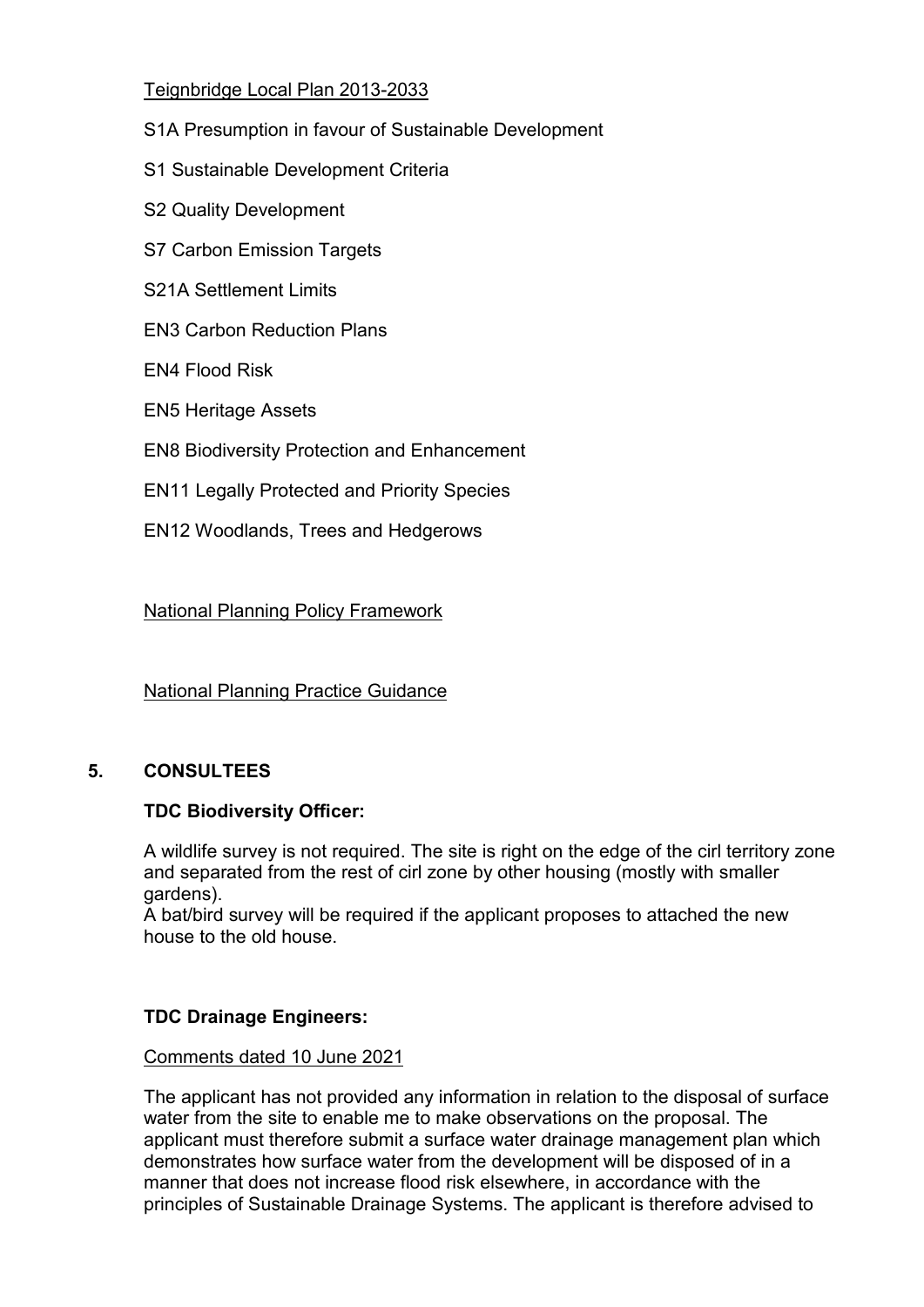# Teignbridge Local Plan 2013-2033

- S1A Presumption in favour of Sustainable Development
- S1 Sustainable Development Criteria
- S2 Quality Development
- S7 Carbon Emission Targets
- S21A Settlement Limits
- EN3 Carbon Reduction Plans
- EN4 Flood Risk
- EN5 Heritage Assets
- EN8 Biodiversity Protection and Enhancement
- EN11 Legally Protected and Priority Species
- EN12 Woodlands, Trees and Hedgerows

# National Planning Policy Framework

National Planning Practice Guidance

# **5. CONSULTEES**

# **TDC Biodiversity Officer:**

A wildlife survey is not required. The site is right on the edge of the cirl territory zone and separated from the rest of cirl zone by other housing (mostly with smaller gardens).

A bat/bird survey will be required if the applicant proposes to attached the new house to the old house.

# **TDC Drainage Engineers:**

# Comments dated 10 June 2021

The applicant has not provided any information in relation to the disposal of surface water from the site to enable me to make observations on the proposal. The applicant must therefore submit a surface water drainage management plan which demonstrates how surface water from the development will be disposed of in a manner that does not increase flood risk elsewhere, in accordance with the principles of Sustainable Drainage Systems. The applicant is therefore advised to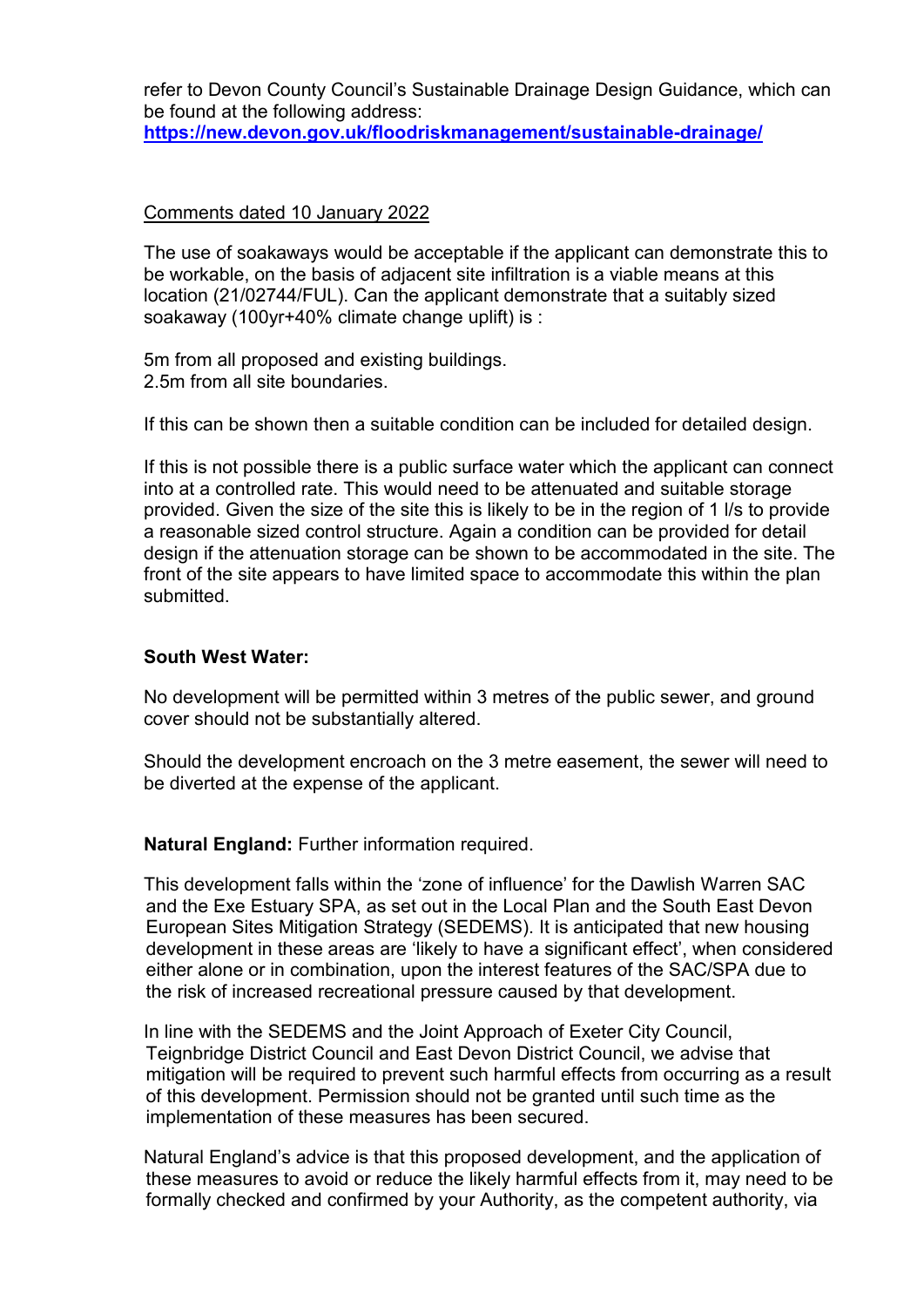refer to Devon County Council's Sustainable Drainage Design Guidance, which can be found at the following address: **<https://new.devon.gov.uk/floodriskmanagement/sustainable-drainage/>**

#### Comments dated 10 January 2022

The use of soakaways would be acceptable if the applicant can demonstrate this to be workable, on the basis of adjacent site infiltration is a viable means at this location (21/02744/FUL). Can the applicant demonstrate that a suitably sized soakaway (100yr+40% climate change uplift) is :

5m from all proposed and existing buildings. 2.5m from all site boundaries.

If this can be shown then a suitable condition can be included for detailed design.

If this is not possible there is a public surface water which the applicant can connect into at a controlled rate. This would need to be attenuated and suitable storage provided. Given the size of the site this is likely to be in the region of 1 l/s to provide a reasonable sized control structure. Again a condition can be provided for detail design if the attenuation storage can be shown to be accommodated in the site. The front of the site appears to have limited space to accommodate this within the plan submitted.

#### **South West Water:**

No development will be permitted within 3 metres of the public sewer, and ground cover should not be substantially altered.

Should the development encroach on the 3 metre easement, the sewer will need to be diverted at the expense of the applicant.

**Natural England:** Further information required.

This development falls within the 'zone of influence' for the Dawlish Warren SAC and the Exe Estuary SPA, as set out in the Local Plan and the South East Devon European Sites Mitigation Strategy (SEDEMS). It is anticipated that new housing development in these areas are 'likely to have a significant effect', when considered either alone or in combination, upon the interest features of the SAC/SPA due to the risk of increased recreational pressure caused by that development.

In line with the SEDEMS and the Joint Approach of Exeter City Council, Teignbridge District Council and East Devon District Council, we advise that mitigation will be required to prevent such harmful effects from occurring as a result of this development. Permission should not be granted until such time as the implementation of these measures has been secured.

Natural England's advice is that this proposed development, and the application of these measures to avoid or reduce the likely harmful effects from it, may need to be formally checked and confirmed by your Authority, as the competent authority, via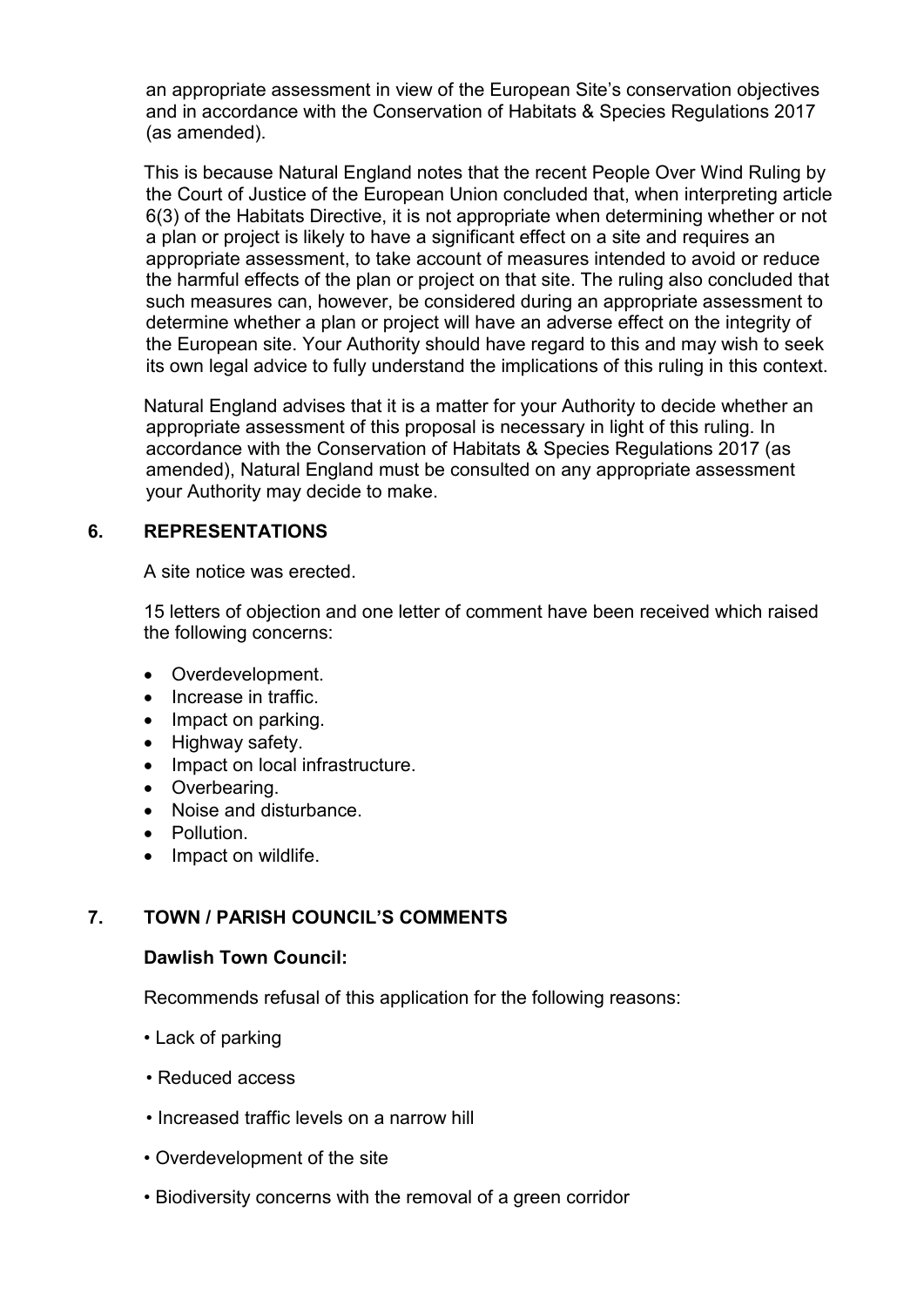an appropriate assessment in view of the European Site's conservation objectives and in accordance with the Conservation of Habitats & Species Regulations 2017 (as amended).

This is because Natural England notes that the recent People Over Wind Ruling by the Court of Justice of the European Union concluded that, when interpreting article 6(3) of the Habitats Directive, it is not appropriate when determining whether or not a plan or project is likely to have a significant effect on a site and requires an appropriate assessment, to take account of measures intended to avoid or reduce the harmful effects of the plan or project on that site. The ruling also concluded that such measures can, however, be considered during an appropriate assessment to determine whether a plan or project will have an adverse effect on the integrity of the European site. Your Authority should have regard to this and may wish to seek its own legal advice to fully understand the implications of this ruling in this context.

Natural England advises that it is a matter for your Authority to decide whether an appropriate assessment of this proposal is necessary in light of this ruling. In accordance with the Conservation of Habitats & Species Regulations 2017 (as amended), Natural England must be consulted on any appropriate assessment your Authority may decide to make.

### **6. REPRESENTATIONS**

A site notice was erected.

15 letters of objection and one letter of comment have been received which raised the following concerns:

- Overdevelopment.
- Increase in traffic.
- Impact on parking.
- Highway safety.
- Impact on local infrastructure.
- Overbearing.
- Noise and disturbance.
- Pollution.
- Impact on wildlife.

# **7. TOWN / PARISH COUNCIL'S COMMENTS**

### **Dawlish Town Council:**

Recommends refusal of this application for the following reasons:

- Lack of parking
- Reduced access
- Increased traffic levels on a narrow hill
- Overdevelopment of the site
- Biodiversity concerns with the removal of a green corridor